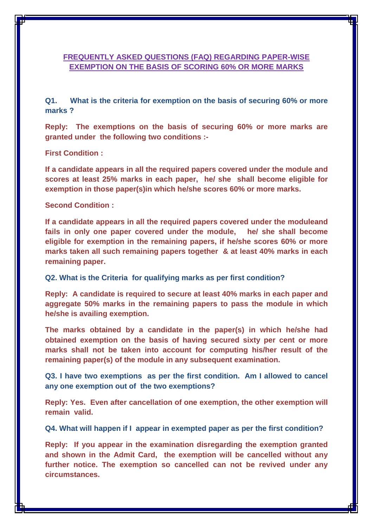## **FREQUENTLY ASKED QUESTIONS (FAQ) REGARDING PAPER-WISE EXEMPTION ON THE BASIS OF SCORING 60% OR MORE MARKS**

**Q1. What is the criteria for exemption on the basis of securing 60% or more marks ?**

**Reply: The exemptions on the basis of securing 60% or more marks are granted under the following two conditions :-**

**First Condition :**

**If a candidate appears in all the required papers covered under the module and scores at least 25% marks in each paper, he/ she shall become eligible for exemption in those paper(s)in which he/she scores 60% or more marks.** 

**Second Condition :**

**If a candidate appears in all the required papers covered under the moduleand fails in only one paper covered under the module, he/ she shall become eligible for exemption in the remaining papers, if he/she scores 60% or more marks taken all such remaining papers together & at least 40% marks in each remaining paper.** 

**Q2. What is the Criteria for qualifying marks as per first condition?**

**Reply: A candidate is required to secure at least 40% marks in each paper and aggregate 50% marks in the remaining papers to pass the module in which he/she is availing exemption.** 

**The marks obtained by a candidate in the paper(s) in which he/she had obtained exemption on the basis of having secured sixty per cent or more marks shall not be taken into account for computing his/her result of the remaining paper(s) of the module in any subsequent examination.** 

**Q3. I have two exemptions as per the first condition. Am I allowed to cancel any one exemption out of the two exemptions?**

**Reply: Yes. Even after cancellation of one exemption, the other exemption will remain valid.** 

**Q4. What will happen if I appear in exempted paper as per the first condition?**

**Reply: If you appear in the examination disregarding the exemption granted and shown in the Admit Card, the exemption will be cancelled without any further notice. The exemption so cancelled can not be revived under any circumstances.**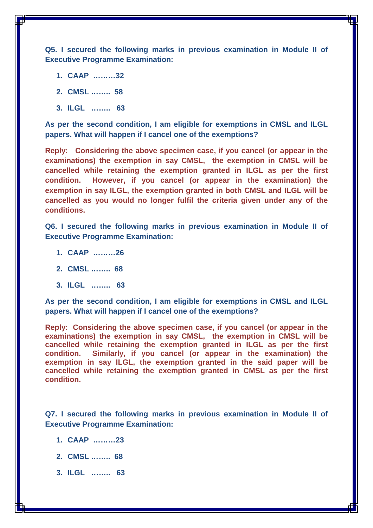**Q5. I secured the following marks in previous examination in Module II of Executive Programme Examination:**

- **1. CAAP ………32**
- **2. CMSL …….. 58**
- **3. ILGL …….. 63**

**As per the second condition, I am eligible for exemptions in CMSL and ILGL papers. What will happen if I cancel one of the exemptions?**

**Reply: Considering the above specimen case, if you cancel (or appear in the examinations) the exemption in say CMSL, the exemption in CMSL will be cancelled while retaining the exemption granted in ILGL as per the first condition. However, if you cancel (or appear in the examination) the exemption in say ILGL, the exemption granted in both CMSL and ILGL will be cancelled as you would no longer fulfil the criteria given under any of the conditions.** 

**Q6. I secured the following marks in previous examination in Module II of Executive Programme Examination:**

- **1. CAAP ………26**
- **2. CMSL …….. 68**
- **3. ILGL …….. 63**

**As per the second condition, I am eligible for exemptions in CMSL and ILGL papers. What will happen if I cancel one of the exemptions?**

**Reply: Considering the above specimen case, if you cancel (or appear in the examinations) the exemption in say CMSL, the exemption in CMSL will be cancelled while retaining the exemption granted in ILGL as per the first condition. Similarly, if you cancel (or appear in the examination) the exemption in say ILGL, the exemption granted in the said paper will be cancelled while retaining the exemption granted in CMSL as per the first condition.** 

**Q7. I secured the following marks in previous examination in Module II of Executive Programme Examination:**

- **1. CAAP ………23**
- **2. CMSL …….. 68**
- **3. ILGL …….. 63**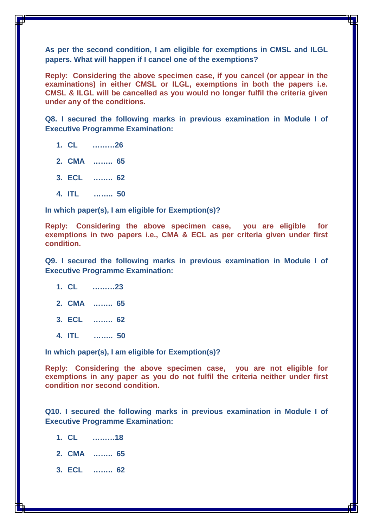**As per the second condition, I am eligible for exemptions in CMSL and ILGL papers. What will happen if I cancel one of the exemptions?**

**Reply: Considering the above specimen case, if you cancel (or appear in the examinations) in either CMSL or ILGL, exemptions in both the papers i.e. CMSL & ILGL will be cancelled as you would no longer fulfil the criteria given under any of the conditions.**

**Q8. I secured the following marks in previous examination in Module I of Executive Programme Examination:**

- **1. CL ………26**
- **2. CMA …….. 65**
- **3. ECL …….. 62**
- **4. ITL …….. 50**

**In which paper(s), I am eligible for Exemption(s)?**

**Reply: Considering the above specimen case, you are eligible for exemptions in two papers i.e., CMA & ECL as per criteria given under first condition.** 

**Q9. I secured the following marks in previous examination in Module I of Executive Programme Examination:**

- **1. CL ………23**
- **2. CMA …….. 65**
- **3. ECL …….. 62**
- **4. ITL …….. 50**

**In which paper(s), I am eligible for Exemption(s)?**

**Reply: Considering the above specimen case, you are not eligible for exemptions in any paper as you do not fulfil the criteria neither under first condition nor second condition.** 

**Q10. I secured the following marks in previous examination in Module I of Executive Programme Examination:**

- **1. CL ………18**
- **2. CMA …….. 65**
- **3. ECL …….. 62**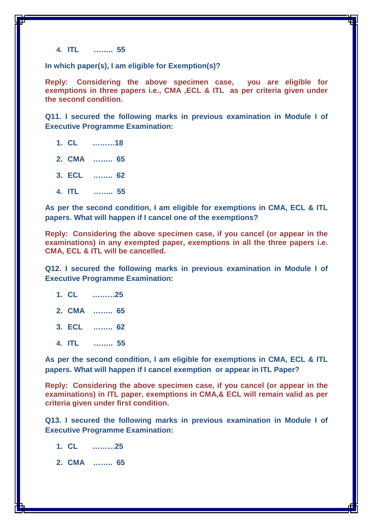**4. ITL …….. 55**

**In which paper(s), I am eligible for Exemption(s)?**

**Reply: Considering the above specimen case, you are eligible for exemptions in three papers i.e., CMA ,ECL & ITL as per criteria given under the second condition.** 

**Q11. I secured the following marks in previous examination in Module I of Executive Programme Examination:**

- **1. CL ………18**
- **2. CMA …….. 65**
- **3. ECL …….. 62**
- **4. ITL …….. 55**

**As per the second condition, I am eligible for exemptions in CMA, ECL & ITL papers. What will happen if I cancel one of the exemptions?**

**Reply: Considering the above specimen case, if you cancel (or appear in the examinations) in any exempted paper, exemptions in all the three papers i.e. CMA, ECL & ITL will be cancelled.**

**Q12. I secured the following marks in previous examination in Module I of Executive Programme Examination:**

- **1. CL ………25**
- **2. CMA …….. 65**
- **3. ECL …….. 62**
- **4. ITL …….. 55**

**As per the second condition, I am eligible for exemptions in CMA, ECL & ITL papers. What will happen if I cancel exemption or appear in ITL Paper?**

**Reply: Considering the above specimen case, if you cancel (or appear in the examinations) in ITL paper, exemptions in CMA,& ECL will remain valid as per criteria given under first condition.**

**Q13. I secured the following marks in previous examination in Module I of Executive Programme Examination:**

- **1. CL ………25**
- **2. CMA …….. 65**